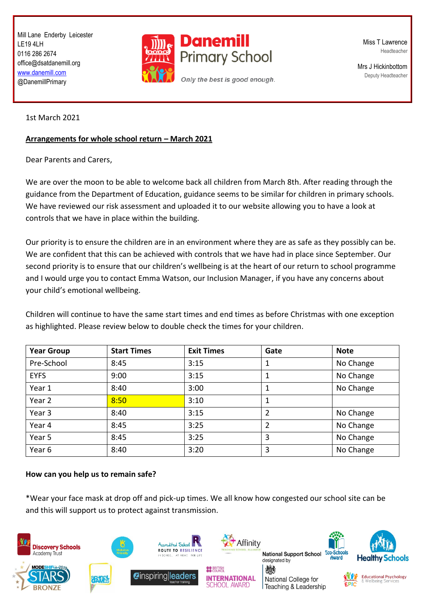Mill Lane Enderby Leicester LE19 4LH 0116 286 2674 office@dsatdanemill.org [www.danemill.com](http://www.danemill.com/) @DanemillPrimary



Miss T Lawrence Headteacher

Mrs J Hickinbottom Deputy Headteacher

1st March 2021

## **Arrangements for whole school return – March 2021**

Dear Parents and Carers,

We are over the moon to be able to welcome back all children from March 8th. After reading through the guidance from the Department of Education, guidance seems to be similar for children in primary schools. We have reviewed our risk assessment and uploaded it to our website allowing you to have a look at controls that we have in place within the building.

Our priority is to ensure the children are in an environment where they are as safe as they possibly can be. We are confident that this can be achieved with controls that we have had in place since September. Our second priority is to ensure that our children's wellbeing is at the heart of our return to school programme and I would urge you to contact Emma Watson, our Inclusion Manager, if you have any concerns about your child's emotional wellbeing.

Children will continue to have the same start times and end times as before Christmas with one exception as highlighted. Please review below to double check the times for your children.

| <b>Year Group</b> | <b>Start Times</b> | <b>Exit Times</b> | Gate | <b>Note</b> |
|-------------------|--------------------|-------------------|------|-------------|
| Pre-School        | 8:45               | 3:15              |      | No Change   |
| <b>EYFS</b>       | 9:00               | 3:15              |      | No Change   |
| Year 1            | 8:40               | 3:00              |      | No Change   |
| Year 2            | 8:50               | 3:10              |      |             |
| Year 3            | 8:40               | 3:15              | 2    | No Change   |
| Year 4            | 8:45               | 3:25              | 2    | No Change   |
| Year 5            | 8:45               | 3:25              | 3    | No Change   |
| Year 6            | 8:40               | 3:20              | 3    | No Change   |

## **How can you help us to remain safe?**

\*Wear your face mask at drop off and pick-up times. We all know how congested our school site can be and this will support us to protect against transmission.